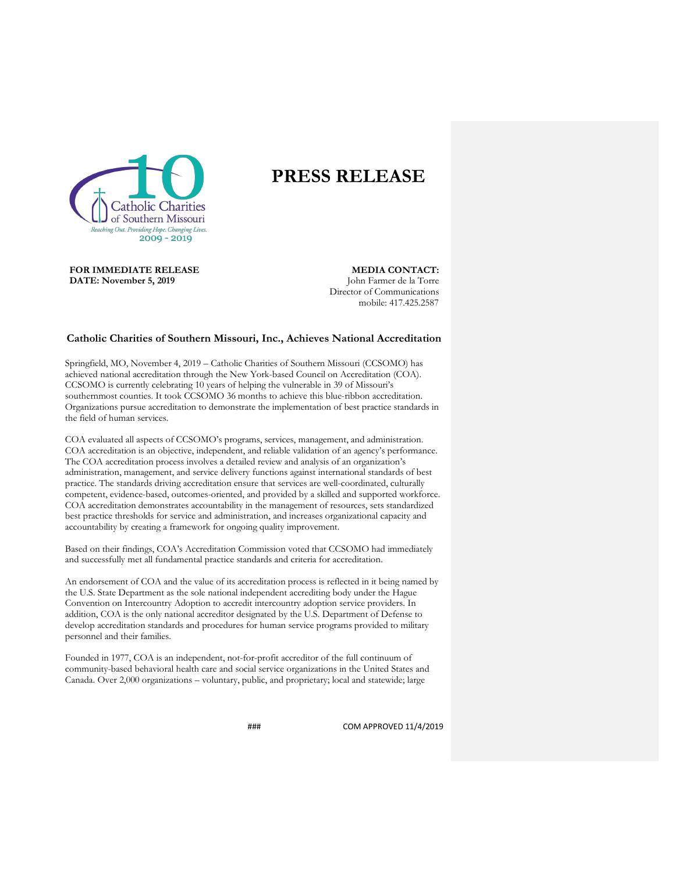

## **PRESS RELEASE**

**FOR IMMEDIATE RELEASE DATE: November 5, 2019**

**MEDIA CONTACT:** John Farmer de la Torre Director of Communications mobile: 417.425.2587

## **Catholic Charities of Southern Missouri, Inc., Achieves National Accreditation**

Springfield, MO, November 4, 2019 – Catholic Charities of Southern Missouri (CCSOMO) has achieved national accreditation through the New York-based Council on Accreditation (COA). CCSOMO is currently celebrating 10 years of helping the vulnerable in 39 of Missouri's southernmost counties. It took CCSOMO 36 months to achieve this blue-ribbon accreditation. Organizations pursue accreditation to demonstrate the implementation of best practice standards in the field of human services.

COA evaluated all aspects of CCSOMO's programs, services, management, and administration. COA accreditation is an objective, independent, and reliable validation of an agency's performance. The COA accreditation process involves a detailed review and analysis of an organization's administration, management, and service delivery functions against international standards of best practice. The standards driving accreditation ensure that services are well-coordinated, culturally competent, evidence-based, outcomes-oriented, and provided by a skilled and supported workforce. COA accreditation demonstrates accountability in the management of resources, sets standardized best practice thresholds for service and administration, and increases organizational capacity and accountability by creating a framework for ongoing quality improvement.

Based on their findings, COA's Accreditation Commission voted that CCSOMO had immediately and successfully met all fundamental practice standards and criteria for accreditation.

An endorsement of COA and the value of its accreditation process is reflected in it being named by the U.S. State Department as the sole national independent accrediting body under the Hague Convention on Intercountry Adoption to accredit intercountry adoption service providers. In addition, COA is the only national accreditor designated by the U.S. Department of Defense to develop accreditation standards and procedures for human service programs provided to military personnel and their families.

Founded in 1977, COA is an independent, not-for-profit accreditor of the full continuum of community-based behavioral health care and social service organizations in the United States and Canada. Over 2,000 organizations – voluntary, public, and proprietary; local and statewide; large

### COM APPROVED 11/4/2019